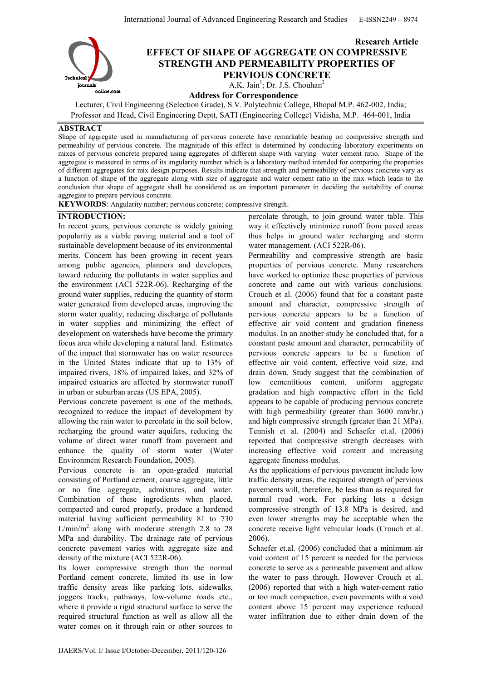

# Research Article EFFECT OF SHAPE OF AGGREGATE ON COMPRESSIVE STRENGTH AND PERMEABILITY PROPERTIES OF PERVIOUS CONCRETE

A.K. Jain<sup>1</sup>; Dr. J.S. Chouhan<sup>2</sup>

Address for Correspondence

Lecturer, Civil Engineering (Selection Grade), S.V. Polytechnic College, Bhopal M.P. 462-002, India; Professor and Head, Civil Engineering Deptt, SATI (Engineering College) Vidisha, M.P. 464-001, India

## ABSTRACT

Shape of aggregate used in manufacturing of pervious concrete have remarkable bearing on compressive strength and permeability of pervious concrete. The magnitude of this effect is determined by conducting laboratory experiments on mixes of pervious concrete prepared using aggregates of different shape with varying water cement ratio. Shape of the aggregate is measured in terms of its angularity number which is a laboratory method intended for comparing the properties of different aggregates for mix design purposes. Results indicate that strength and permeability of pervious concrete vary as a function of shape of the aggregate along with size of aggregate and water cement ratio in the mix which leads to the conclusion that shape of aggregate shall be considered as an important parameter in deciding the suitability of course aggregate to prepare pervious concrete.

KEYWORDS: Angularity number; pervious concrete; compressive strength.

## INTRODUCTION:

In recent years, pervious concrete is widely gaining popularity as a viable paving material and a tool of sustainable development because of its environmental merits. Concern has been growing in recent years among public agencies, planners and developers, toward reducing the pollutants in water supplies and the environment (ACI 522R-06). Recharging of the ground water supplies, reducing the quantity of storm water generated from developed areas, improving the storm water quality, reducing discharge of pollutants in water supplies and minimizing the effect of development on watersheds have become the primary focus area while developing a natural land. Estimates of the impact that stormwater has on water resources in the United States indicate that up to 13% of impaired rivers, 18% of impaired lakes, and 32% of impaired estuaries are affected by stormwater runoff in urban or suburban areas (US EPA, 2005).

Pervious concrete pavement is one of the methods, recognized to reduce the impact of development by allowing the rain water to percolate in the soil below, recharging the ground water aquifers, reducing the volume of direct water runoff from pavement and enhance the quality of storm water (Water Environment Research Foundation, 2005).

Pervious concrete is an open-graded material consisting of Portland cement, coarse aggregate, little or no fine aggregate, admixtures, and water. Combination of these ingredients when placed, compacted and cured properly, produce a hardened material having sufficient permeability 81 to 730  $L/min/m<sup>2</sup>$  along with moderate strength 2.8 to 28 MPa and durability. The drainage rate of pervious concrete pavement varies with aggregate size and density of the mixture (ACI 522R-06).

Its lower compressive strength than the normal Portland cement concrete, limited its use in low traffic density areas like parking lots, sidewalks, joggers tracks, pathways, low-volume roads etc., where it provide a rigid structural surface to serve the required structural function as well as allow all the water comes on it through rain or other sources to

percolate through, to join ground water table. This way it effectively minimize runoff from paved areas thus helps in ground water recharging and storm water management. (ACI 522R-06).

Permeability and compressive strength are basic properties of pervious concrete. Many researchers have worked to optimize these properties of pervious concrete and came out with various conclusions. Crouch et al. (2006) found that for a constant paste amount and character, compressive strength of pervious concrete appears to be a function of effective air void content and gradation fineness modulus. In an another study he concluded that, for a constant paste amount and character, permeability of pervious concrete appears to be a function of effective air void content, effective void size, and drain down. Study suggest that the combination of low cementitious content, uniform aggregate gradation and high compactive effort in the field appears to be capable of producing pervious concrete with high permeability (greater than 3600 mm/hr.) and high compressive strength (greater than 21 MPa). Tennish et al. (2004) and Schaefer et.al. (2006) reported that compressive strength decreases with increasing effective void content and increasing aggregate fineness modulus.

As the applications of pervious pavement include low traffic density areas, the required strength of pervious pavements will, therefore, be less than as required for normal road work. For parking lots a design compressive strength of 13.8 MPa is desired, and even lower strengths may be acceptable when the concrete receive light vehicular loads (Crouch et al. 2006).

Schaefer et.al. (2006) concluded that a minimum air void content of 15 percent is needed for the pervious concrete to serve as a permeable pavement and allow the water to pass through. However Crouch et al. (2006) reported that with a high water-cement ratio or too much compaction, even pavements with a void content above 15 percent may experience reduced water infiltration due to either drain down of the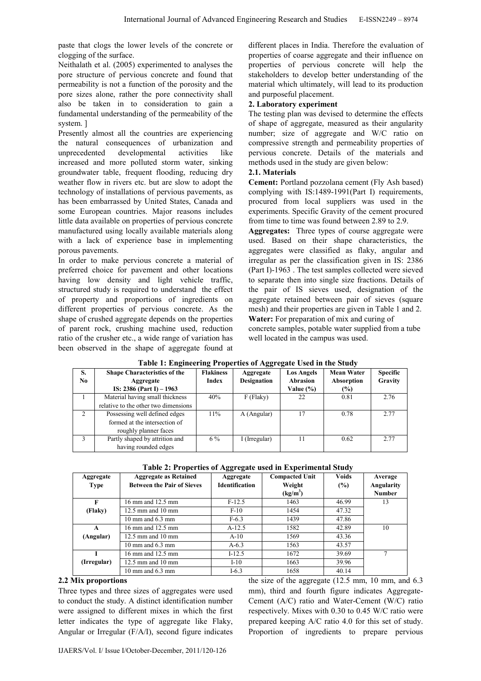paste that clogs the lower levels of the concrete or clogging of the surface.

Neithalath et al. (2005) experimented to analyses the pore structure of pervious concrete and found that permeability is not a function of the porosity and the pore sizes alone, rather the pore connectivity shall also be taken in to consideration to gain a fundamental understanding of the permeability of the system. ]

Presently almost all the countries are experiencing the natural consequences of urbanization and unprecedented developmental activities like increased and more polluted storm water, sinking groundwater table, frequent flooding, reducing dry weather flow in rivers etc. but are slow to adopt the technology of installations of pervious pavements, as has been embarrassed by United States, Canada and some European countries. Major reasons includes little data available on properties of pervious concrete manufactured using locally available materials along with a lack of experience base in implementing porous pavements.

In order to make pervious concrete a material of preferred choice for pavement and other locations having low density and light vehicle traffic, structured study is required to understand the effect of property and proportions of ingredients on different properties of pervious concrete. As the shape of crushed aggregate depends on the properties of parent rock, crushing machine used, reduction ratio of the crusher etc., a wide range of variation has been observed in the shape of aggregate found at

different places in India. Therefore the evaluation of properties of coarse aggregate and their influence on properties of pervious concrete will help the stakeholders to develop better understanding of the material which ultimately, will lead to its production and purposeful placement.

## 2. Laboratory experiment

The testing plan was devised to determine the effects of shape of aggregate, measured as their angularity number; size of aggregate and W/C ratio on compressive strength and permeability properties of pervious concrete. Details of the materials and methods used in the study are given below:

## 2.1. Materials

Cement: Portland pozzolana cement (Fly Ash based) complying with IS:1489-1991(Part I) requirements, procured from local suppliers was used in the experiments. Specific Gravity of the cement procured from time to time was found between 2.89 to 2.9.

Aggregates: Three types of course aggregate were used. Based on their shape characteristics, the aggregates were classified as flaky, angular and irregular as per the classification given in IS: 2386 (Part I)-1963 . The test samples collected were sieved to separate then into single size fractions. Details of the pair of IS sieves used, designation of the aggregate retained between pair of sieves (square mesh) and their properties are given in Table 1 and 2. Water: For preparation of mix and curing of

concrete samples, potable water supplied from a tube well located in the campus was used.

| S.            | <b>Shape Characteristics of the</b>  | <b>Flakiness</b> | Aggregate          | <b>Los Angels</b> | <b>Mean Water</b> | <b>Specific</b> |  |  |
|---------------|--------------------------------------|------------------|--------------------|-------------------|-------------------|-----------------|--|--|
| No            | Aggregate                            | Index            | <b>Designation</b> | Abrasion          | Absorption        | Gravity         |  |  |
|               | IS: $2386$ (Part I) $-1963$          |                  |                    | Value $(\% )$     | (%)               |                 |  |  |
|               | Material having small thickness      | 40%              | $F$ (Flaky)        | 22                | 0.81              | 2.76            |  |  |
|               | relative to the other two dimensions |                  |                    |                   |                   |                 |  |  |
| $\mathcal{L}$ | Possessing well defined edges        | 11%              | A (Angular)        | 17                | 0.78              | 2.77            |  |  |
|               | formed at the intersection of        |                  |                    |                   |                   |                 |  |  |
|               | roughly planner faces                |                  |                    |                   |                   |                 |  |  |
| 3             | Partly shaped by attrition and       | $6\%$            | I (Irregular)      |                   | 0.62              | 2.77            |  |  |
|               | having rounded edges                 |                  |                    |                   |                   |                 |  |  |

Table 1: Engineering Properties of Aggregate Used in the Study

| Aggregate   | <b>Aggregate as Retained</b>      | Aggregate             | <b>Compacted Unit</b> | <b>Voids</b> | Average       |
|-------------|-----------------------------------|-----------------------|-----------------------|--------------|---------------|
| <b>Type</b> | <b>Between the Pair of Sieves</b> | <b>Identification</b> | Weight                | (%)          | Angularity    |
|             |                                   |                       | (kg/m <sup>3</sup> )  |              | <b>Number</b> |
| F           | 16 mm and 12.5 mm                 | $F-12.5$              | 1463                  | 46.99        | 13            |
| (Flaky)     | 12.5 mm and 10 mm                 | $F-10$                | 1454                  | 47.32        |               |
|             | 10 mm and $6.3$ mm                | $F-6.3$               | 1439                  | 47.86        |               |
| A           | 16 mm and 12.5 mm                 | $A-12.5$              | 1582                  | 42.89        | 10            |
| (Angular)   | $12.5$ mm and $10$ mm             | $A-10$                | 1569                  | 43.36        |               |
|             | 10 mm and $6.3$ mm                | $A-6.3$               | 1563                  | 43.57        |               |
|             | 16 mm and 12.5 mm                 | $I-12.5$              | 1672                  | 39.69        |               |
| (Irregular) | $12.5$ mm and $10$ mm             | $I-10$                | 1663                  | 39.96        |               |
|             | 10 mm and $6.3$ mm                | $I-6.3$               | 1658                  | 40.14        |               |

## Table 2: Properties of Aggregate used in Experimental Study

## 2.2 Mix proportions

Three types and three sizes of aggregates were used to conduct the study. A distinct identification number were assigned to different mixes in which the first letter indicates the type of aggregate like Flaky, Angular or Irregular (F/A/I), second figure indicates the size of the aggregate (12.5 mm, 10 mm, and 6.3 mm), third and fourth figure indicates Aggregate-Cement (A/C) ratio and Water-Cement (W/C) ratio respectively. Mixes with 0.30 to 0.45 W/C ratio were prepared keeping A/C ratio 4.0 for this set of study. Proportion of ingredients to prepare pervious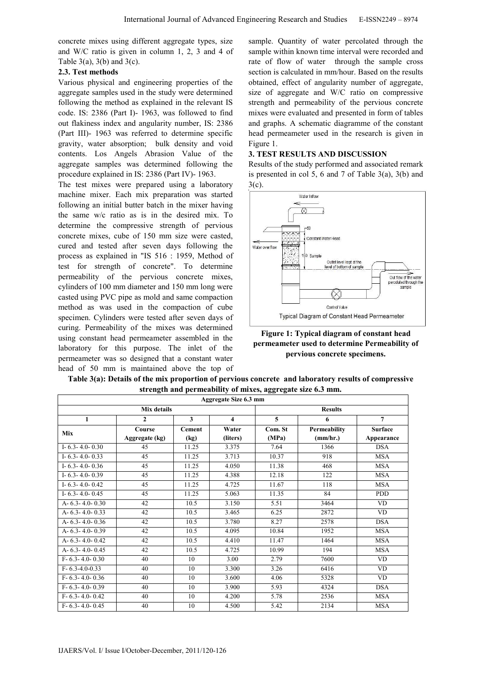concrete mixes using different aggregate types, size and W/C ratio is given in column 1, 2, 3 and 4 of Table  $3(a)$ ,  $3(b)$  and  $3(c)$ .

#### 2.3. Test methods

Various physical and engineering properties of the aggregate samples used in the study were determined following the method as explained in the relevant IS code. IS: 2386 (Part I)- 1963, was followed to find out flakiness index and angularity number, IS: 2386 (Part III)- 1963 was referred to determine specific gravity, water absorption; bulk density and void contents. Los Angels Abrasion Value of the aggregate samples was determined following the procedure explained in IS: 2386 (Part IV)- 1963.

The test mixes were prepared using a laboratory machine mixer. Each mix preparation was started following an initial butter batch in the mixer having the same w/c ratio as is in the desired mix. To determine the compressive strength of pervious concrete mixes, cube of 150 mm size were casted, cured and tested after seven days following the process as explained in "IS 516 : 1959, Method of test for strength of concrete". To determine permeability of the pervious concrete mixes, cylinders of 100 mm diameter and 150 mm long were casted using PVC pipe as mold and same compaction method as was used in the compaction of cube specimen. Cylinders were tested after seven days of curing. Permeability of the mixes was determined using constant head permeameter assembled in the laboratory for this purpose. The inlet of the permeameter was so designed that a constant water head of 50 mm is maintained above the top of sample. Quantity of water percolated through the sample within known time interval were recorded and rate of flow of water through the sample cross section is calculated in mm/hour. Based on the results obtained, effect of angularity number of aggregate, size of aggregate and W/C ratio on compressive strength and permeability of the pervious concrete mixes were evaluated and presented in form of tables and graphs. A schematic diagramme of the constant head permeameter used in the research is given in Figure 1.

#### 3. TEST RESULTS AND DISCUSSION

Results of the study performed and associated remark is presented in col 5, 6 and 7 of Table 3(a), 3(b) and 3(c).



Figure 1: Typical diagram of constant head permeameter used to determine Permeability of pervious concrete specimens.

| strength and permeability of mixes, aggregate size 0.5 mm. |                |               |                         |         |              |                |  |
|------------------------------------------------------------|----------------|---------------|-------------------------|---------|--------------|----------------|--|
| Aggregate Size 6.3 mm                                      |                |               |                         |         |              |                |  |
|                                                            | Mix details    |               | <b>Results</b>          |         |              |                |  |
| $\mathbf{1}$                                               | $\overline{2}$ | $\mathbf{3}$  | $\overline{\mathbf{4}}$ | 5       | 6            | $\overline{7}$ |  |
| Mix                                                        | Course         | <b>Cement</b> | Water                   | Com. St | Permeability | <b>Surface</b> |  |
|                                                            | Aggregate (kg) | (kg)          | (liters)                | (MPa)   | (mm/hr.)     | Appearance     |  |
| I-6.3-4.0-0.30                                             | 45             | 11.25         | 3.375                   | 7.64    | 1366         | <b>DSA</b>     |  |
| I-6.3-4.0-0.33                                             | 45             | 11.25         | 3.713                   | 10.37   | 918          | <b>MSA</b>     |  |
| I-6.3-4.0-0.36                                             | 45             | 11.25         | 4.050                   | 11.38   | 468          | <b>MSA</b>     |  |
| I-6.3-4.0-0.39                                             | 45             | 11.25         | 4.388                   | 12.18   | 122          | <b>MSA</b>     |  |
| I-6.3-4.0-0.42                                             | 45             | 11.25         | 4.725                   | 11.67   | 118          | <b>MSA</b>     |  |
| I- $6.3 - 4.0 - 0.45$                                      | 45             | 11.25         | 5.063                   | 11.35   | 84           | <b>PDD</b>     |  |
| A- $6.3 - 4.0 - 0.30$                                      | 42             | 10.5          | 3.150                   | 5.51    | 3464         | <b>VD</b>      |  |
| A- $6.3 - 4.0 - 0.33$                                      | 42             | 10.5          | 3.465                   | 6.25    | 2872         | <b>VD</b>      |  |
| A- $6.3 - 4.0 - 0.36$                                      | 42             | 10.5          | 3.780                   | 8.27    | 2578         | <b>DSA</b>     |  |
| A- $6.3 - 4.0 - 0.39$                                      | 42             | 10.5          | 4.095                   | 10.84   | 1952         | <b>MSA</b>     |  |
| A-6.3-4.0-0.42                                             | 42             | 10.5          | 4.410                   | 11.47   | 1464         | <b>MSA</b>     |  |
| A- $6.3 - 4.0 - 0.45$                                      | 42             | 10.5          | 4.725                   | 10.99   | 194          | <b>MSA</b>     |  |
| $F - 6.3 - 4.0 - 0.30$                                     | 40             | 10            | 3.00                    | 2.79    | 7600         | VD.            |  |
| $F-6.3-4.0-0.33$                                           | 40             | 10            | 3.300                   | 3.26    | 6416         | VD             |  |
| $F - 6.3 - 4.0 - 0.36$                                     | 40             | 10            | 3.600                   | 4.06    | 5328         | <b>VD</b>      |  |
| $F - 6.3 - 4.0 - 0.39$                                     | 40             | 10            | 3.900                   | 5.93    | 4324         | <b>DSA</b>     |  |
| $F-6.3-4.0-0.42$                                           | 40             | 10            | 4.200                   | 5.78    | 2536         | <b>MSA</b>     |  |
| $F - 6.3 - 4.0 - 0.45$                                     | 40             | 10            | 4.500                   | 5.42    | 2134         | <b>MSA</b>     |  |

Table 3(a): Details of the mix proportion of pervious concrete and laboratory results of compressive strength and permeability of mixes, aggregate size 6.3 mm.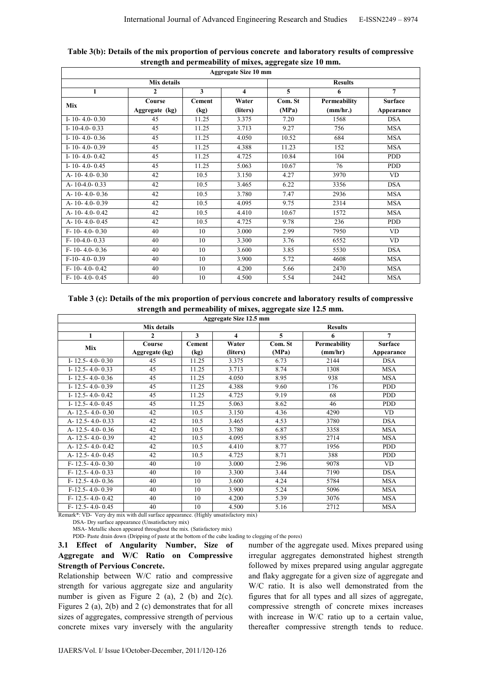| <b>Aggregate Size 10 mm</b> |                 |               |                         |         |                 |                |  |
|-----------------------------|-----------------|---------------|-------------------------|---------|-----------------|----------------|--|
|                             | <b>Results</b>  |               |                         |         |                 |                |  |
| $\mathbf{1}$                | $\mathbf{2}$    | 3             | $\overline{\mathbf{4}}$ | 5       | 6               | $\overline{7}$ |  |
| <b>Mix</b>                  | Course          | <b>Cement</b> | Water                   | Com. St | Permeability    | <b>Surface</b> |  |
|                             | Aggregate (kg)  | (kg)          | (liters)                | (MPa)   | (mm/hr.)        | Appearance     |  |
| I-10-4.0-0.30               | 45              | 11.25         | 3.375                   | 7.20    | 1568            | <b>DSA</b>     |  |
| I-10-4.0-0.33               | 45              | 11.25         | 3.713                   | 9.27    | 756             | <b>MSA</b>     |  |
| I-10-4.0-0.36               | 45              | 11.25         | 4.050                   | 10.52   | 684             | <b>MSA</b>     |  |
| I-10-4.0-0.39               | 45              | 11.25         | 4.388                   | 11.23   | 152             | <b>MSA</b>     |  |
| I-10-4.0-0.42               | 45              | 11.25         | 4.725                   | 10.84   | 104             | <b>PDD</b>     |  |
| I-10-4.0-0.45               | $\overline{45}$ | 11.25         | 5.063                   | 10.67   | $\overline{76}$ | <b>PDD</b>     |  |
| $A - 10 - 4.0 - 0.30$       | 42              | 10.5          | 3.150                   | 4.27    | 3970            | <b>VD</b>      |  |
| $A - 10 - 4.0 - 0.33$       | 42              | 10.5          | 3.465                   | 6.22    | 3356            | <b>DSA</b>     |  |
| A-10-4.0-0.36               | 42              | 10.5          | 3.780                   | 7.47    | 2936            | <b>MSA</b>     |  |
| A-10-4.0-0.39               | 42              | 10.5          | 4.095                   | 9.75    | 2314            | <b>MSA</b>     |  |
| A-10-4.0-0.42               | 42              | 10.5          | 4.410                   | 10.67   | 1572            | <b>MSA</b>     |  |
| $A - 10 - 4.0 - 0.45$       | 42              | 10.5          | 4.725                   | 9.78    | 236             | <b>PDD</b>     |  |
| $F-10-4.0-0.30$             | 40              | 10            | 3.000                   | 2.99    | 7950            | <b>VD</b>      |  |
| $F-10-4.0-0.33$             | 40              | 10            | 3.300                   | 3.76    | 6552            | <b>VD</b>      |  |
| $F - 10 - 4.0 - 0.36$       | 40              | 10            | 3.600                   | 3.85    | 5530            | <b>DSA</b>     |  |
| $F-10-4.0-0.39$             | 40              | 10            | 3.900                   | 5.72    | 4608            | <b>MSA</b>     |  |
| $F-10-4.0-0.42$             | 40              | 10            | 4.200                   | 5.66    | 2470            | <b>MSA</b>     |  |
| $F-10-4.0-0.45$             | 40              | 10            | 4.500                   | 5.54    | 2442            | <b>MSA</b>     |  |

#### Table 3(b): Details of the mix proportion of pervious concrete and laboratory results of compressive strength and permeability of mixes, aggregate size 10 mm.

Table 3 (c): Details of the mix proportion of pervious concrete and laboratory results of compressive strength and permeability of mixes, aggregate size 12.5 mm.

| Aggregate Size 12.5 mm |                |                         |         |                     |                |  |  |
|------------------------|----------------|-------------------------|---------|---------------------|----------------|--|--|
| Mix details            | <b>Results</b> |                         |         |                     |                |  |  |
| 2                      | 3              | $\overline{\mathbf{4}}$ | 5       | 6                   | $\overline{7}$ |  |  |
| Course                 | <b>Cement</b>  | Water                   | Com. St | <b>Permeability</b> | <b>Surface</b> |  |  |
| Aggregate (kg)         | (kg)           | (liters)                | (MPa)   | (mm/hr)             | Appearance     |  |  |
| 45                     | 11.25          | 3.375                   | 6.73    | 2144                | <b>DSA</b>     |  |  |
| 45                     | 11.25          | 3.713                   | 8.74    | 1308                | <b>MSA</b>     |  |  |
| 45                     | 11.25          | 4.050                   | 8.95    | 938                 | <b>MSA</b>     |  |  |
| 45                     | 11.25          | 4.388                   | 9.60    | 176                 | <b>PDD</b>     |  |  |
| 45                     | 11.25          | 4.725                   | 9.19    | 68                  | <b>PDD</b>     |  |  |
| 45                     | 11.25          | 5.063                   | 8.62    | 46                  | <b>PDD</b>     |  |  |
| 42                     | 10.5           | 3.150                   | 4.36    | 4290                | VD.            |  |  |
| 42                     | 10.5           | 3.465                   | 4.53    | 3780                | <b>DSA</b>     |  |  |
| 42                     | 10.5           | 3.780                   | 6.87    | 3358                | <b>MSA</b>     |  |  |
| 42                     | 10.5           | 4.095                   | 8.95    | 2714                | <b>MSA</b>     |  |  |
| 42                     | 10.5           | 4.410                   | 8.77    | 1956                | <b>PDD</b>     |  |  |
| 42                     | 10.5           | 4.725                   | 8.71    | 388                 | <b>PDD</b>     |  |  |
| 40                     | 10             | 3.000                   | 2.96    | 9078                | <b>VD</b>      |  |  |
| 40                     | 10             | 3.300                   | 3.44    | 7190                | <b>DSA</b>     |  |  |
| 40                     | 10             | 3.600                   | 4.24    | 5784                | <b>MSA</b>     |  |  |
| 40                     | 10             | 3.900                   | 5.24    | 5096                | <b>MSA</b>     |  |  |
| 40                     | 10             | 4.200                   | 5.39    | 3076                | <b>MSA</b>     |  |  |
| 40                     | 10             | 4.500                   | 5.16    | 2712                | <b>MSA</b>     |  |  |
|                        |                |                         |         |                     |                |  |  |

Remark\*: VD- Very dry mix with dull surface appearance. (Highly unsatisfactory mix)

DSA- Dry surface appearance (Unsatisfactory mix)

MSA- Metallic sheen appeared throughout the mix. (Satisfactory mix)

PDD- Paste drain down (Dripping of paste at the bottom of the cube leading to clogging of the pores)

# 3.1 Effect of Angularity Number, Size of Aggregate and W/C Ratio on Compressive Strength of Pervious Concrete.

Relationship between W/C ratio and compressive strength for various aggregate size and angularity number is given as Figure 2 (a), 2 (b) and  $2(c)$ . Figures 2 (a), 2(b) and 2 (c) demonstrates that for all sizes of aggregates, compressive strength of pervious concrete mixes vary inversely with the angularity number of the aggregate used. Mixes prepared using irregular aggregates demonstrated highest strength followed by mixes prepared using angular aggregate and flaky aggregate for a given size of aggregate and W/C ratio. It is also well demonstrated from the figures that for all types and all sizes of aggregate, compressive strength of concrete mixes increases with increase in W/C ratio up to a certain value, thereafter compressive strength tends to reduce.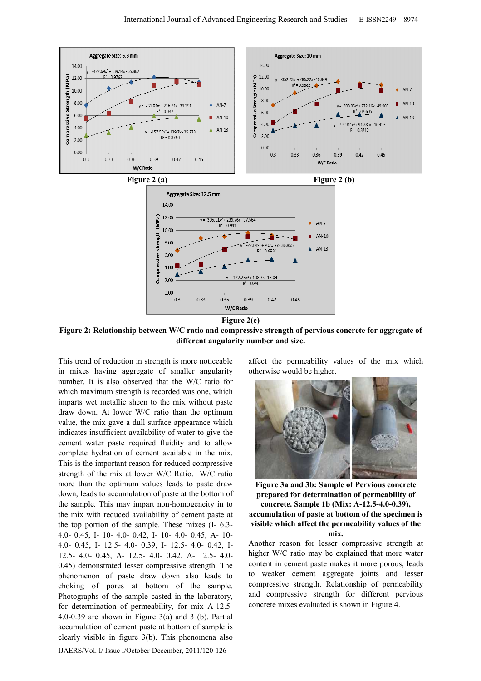

W/C Ratio Figure 2(c)

Figure 2: Relationship between W/C ratio and compressive strength of pervious concrete for aggregate of different angularity number and size.

This trend of reduction in strength is more noticeable in mixes having aggregate of smaller angularity number. It is also observed that the W/C ratio for which maximum strength is recorded was one, which imparts wet metallic sheen to the mix without paste draw down. At lower W/C ratio than the optimum value, the mix gave a dull surface appearance which indicates insufficient availability of water to give the cement water paste required fluidity and to allow complete hydration of cement available in the mix. This is the important reason for reduced compressive strength of the mix at lower W/C Ratio. W/C ratio more than the optimum values leads to paste draw down, leads to accumulation of paste at the bottom of the sample. This may impart non-homogeneity in to the mix with reduced availability of cement paste at the top portion of the sample. These mixes (I- 6.3- 4.0- 0.45, I- 10- 4.0- 0.42, I- 10- 4.0- 0.45, A- 10- 4.0- 0.45, I- 12.5- 4.0- 0.39, I- 12.5- 4.0- 0.42, I-12.5- 4.0- 0.45, A- 12.5- 4.0- 0.42, A- 12.5- 4.0- 0.45) demonstrated lesser compressive strength. The phenomenon of paste draw down also leads to choking of pores at bottom of the sample. Photographs of the sample casted in the laboratory, for determination of permeability, for mix A-12.5- 4.0-0.39 are shown in Figure 3(a) and 3 (b). Partial accumulation of cement paste at bottom of sample is clearly visible in figure 3(b). This phenomena also

IJAERS/Vol. I/ Issue I/October-December, 2011/120-126

affect the permeability values of the mix which otherwise would be higher.



Figure 3a and 3b: Sample of Pervious concrete prepared for determination of permeability of concrete. Sample 1b (Mix: A-12.5-4.0-0.39), accumulation of paste at bottom of the specimen is visible which affect the permeability values of the mix.

Another reason for lesser compressive strength at higher W/C ratio may be explained that more water content in cement paste makes it more porous, leads to weaker cement aggregate joints and lesser compressive strength. Relationship of permeability and compressive strength for different pervious concrete mixes evaluated is shown in Figure 4.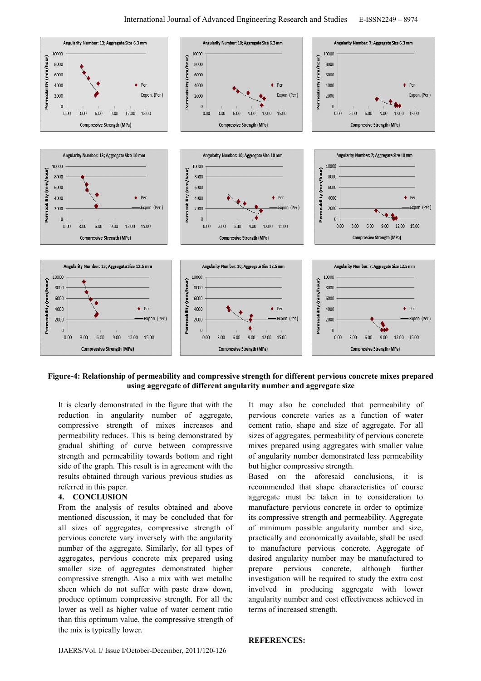

#### Figure-4: Relationship of permeability and compressive strength for different pervious concrete mixes prepared using aggregate of different angularity number and aggregate size

It is clearly demonstrated in the figure that with the reduction in angularity number of aggregate, compressive strength of mixes increases and permeability reduces. This is being demonstrated by gradual shifting of curve between compressive strength and permeability towards bottom and right side of the graph. This result is in agreement with the results obtained through various previous studies as referred in this paper.

## 4. CONCLUSION

From the analysis of results obtained and above mentioned discussion, it may be concluded that for all sizes of aggregates, compressive strength of pervious concrete vary inversely with the angularity number of the aggregate. Similarly, for all types of aggregates, pervious concrete mix prepared using smaller size of aggregates demonstrated higher compressive strength. Also a mix with wet metallic sheen which do not suffer with paste draw down, produce optimum compressive strength. For all the lower as well as higher value of water cement ratio than this optimum value, the compressive strength of the mix is typically lower.

It may also be concluded that permeability of pervious concrete varies as a function of water cement ratio, shape and size of aggregate. For all sizes of aggregates, permeability of pervious concrete mixes prepared using aggregates with smaller value of angularity number demonstrated less permeability but higher compressive strength.

Based on the aforesaid conclusions, it recommended that shape characteristics of course aggregate must be taken in to consideration to manufacture pervious concrete in order to optimize its compressive strength and permeability. Aggregate of minimum possible angularity number and size, practically and economically available, shall be used to manufacture pervious concrete. Aggregate of desired angularity number may be manufactured to prepare pervious concrete, although further investigation will be required to study the extra cost involved in producing aggregate with lower angularity number and cost effectiveness achieved in terms of increased strength.

REFERENCES: